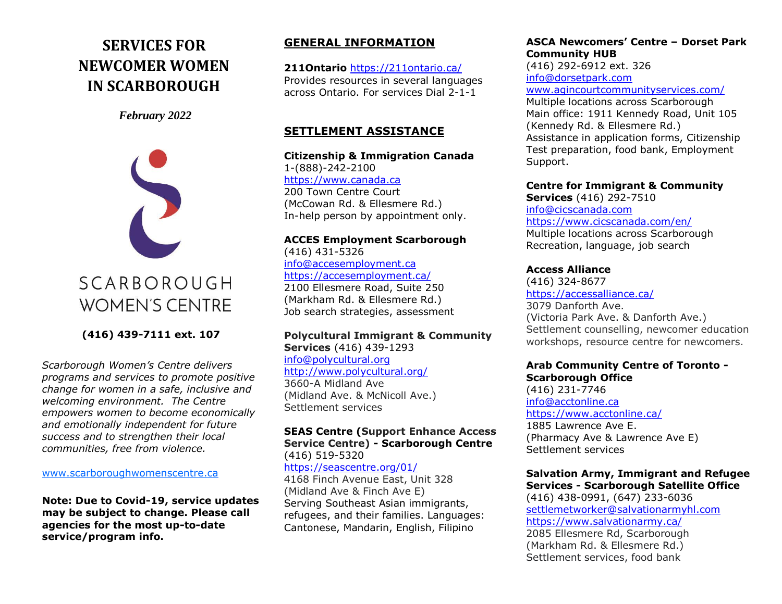# **SERVICES FOR NEWCOMER WOMEN IN SCARBOROUGH**

*February 2022*



SCARBOROUGH **WOMEN'S CENTRE** 

**(416) 439-7111 ext. 107**

*Scarborough Women's Centre delivers programs and services to promote positive change for women in a safe, inclusive and welcoming environment. The Centre empowers women to become economically and emotionally independent for future success and to strengthen their local communities, free from violence.* 

[www.scarboroughwomenscentre.ca](http://www.scarboroughwomenscentre.ca/)

**Note: Due to Covid-19, service updates may be subject to change. Please call agencies for the most up-to-date service/program info.**

### **GENERAL INFORMATION**

**211Ontario** <https://211ontario.ca/> Provides resources in several languages across Ontario. For services Dial 2-1-1

### **SETTLEMENT ASSISTANCE**

**Citizenship & Immigration Canada** 1-(888)-242-2100 [https://www.canada.ca](https://www.canada.ca/) 200 Town Centre Court (McCowan Rd. & Ellesmere Rd.) In-help person by appointment only.

#### **ACCES Employment Scarborough**  (416) 431-5326 [info@accesemployment.ca](mailto:info@accesemployment.ca) <https://accesemployment.ca/> 2100 Ellesmere Road, Suite 250 (Markham Rd. & Ellesmere Rd.) Job search strategies, assessment

#### **Polycultural Immigrant & Community Services** (416) 439-1293 [info@polycultural.org](mailto:info@polycultural.org)

<http://www.polycultural.org/> 3660-A Midland Ave (Midland Ave. & McNicoll Ave.) Settlement services

#### **SEAS Centre (Support Enhance Access Service Centre) - Scarborough Centre**  (416) 519-5320

<https://seascentre.org/01/>

4168 Finch Avenue East, Unit 328 (Midland Ave & Finch Ave E) Serving Southeast Asian immigrants, refugees, and their families. Languages: Cantonese, Mandarin, English, Filipino

#### **ASCA Newcomers' Centre – Dorset Park Community HUB** (416) 292-6912 ext. 326 [info@dorsetpark.com](mailto:info@dorsetpark.com) [www.agincourtcommunityservices.com/](https://www.agincourtcommunityservices.com/) Multiple locations across Scarborough Main office: 1911 Kennedy Road, Unit 105 (Kennedy Rd. & Ellesmere Rd.) Assistance in application forms, Citizenship Test preparation, food bank, Employment

**Centre for Immigrant & Community Services** (416) 292-7510 [info@cicscanada.com](mailto:info@cicscanada.com) <https://www.cicscanada.com/en/> Multiple locations across Scarborough Recreation, language, job search

### **Access Alliance**

Support.

(416) 324-8677 [https://accessalliance.ca/](https://accessalliance.ca/contact-us/) 3079 Danforth Ave. (Victoria Park Ave. & Danforth Ave.) Settlement counselling, newcomer education workshops, resource centre for newcomers.

### **Arab Community Centre of Toronto - Scarborough Office**

(416) 231-7746 [info@acctonline.ca](mailto:info@acctonline.ca) <https://www.acctonline.ca/> 1885 Lawrence Ave E. (Pharmacy Ave & Lawrence Ave E) Settlement services

#### **Salvation Army, Immigrant and Refugee Services - Scarborough Satellite Office**

(416) 438-0991, (647) 233-6036 [settlemetworker@salvationarmyhl.com](mailto:settlemetworker@salvationarmyhl.com) <https://www.salvationarmy.ca/> 2085 Ellesmere Rd, Scarborough (Markham Rd. & Ellesmere Rd.) Settlement services, food bank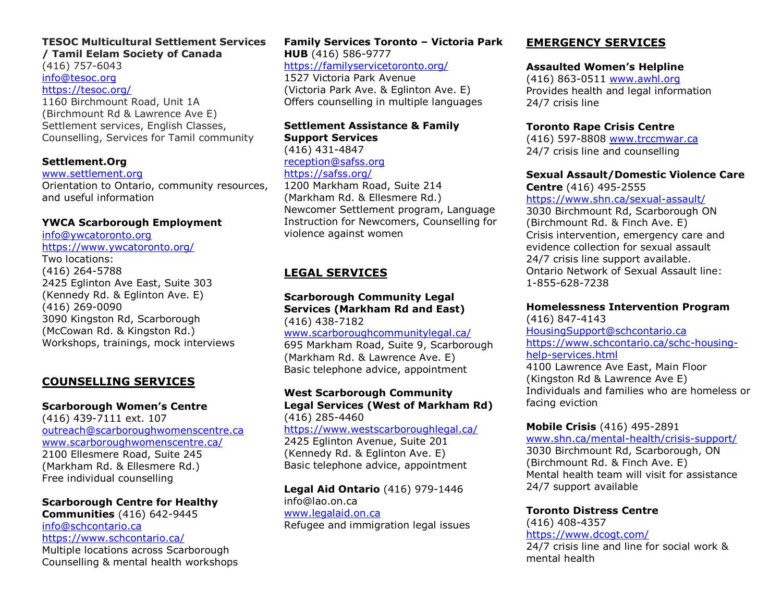## **TESOC Multicultural Settlement Services**

**/ Tamil Eelam Society of Canada** (416) 757-6043 [info@tesoc.org](mailto:info@tesoc.org) <https://tesoc.org/> 1160 Birchmount Road, Unit 1A (Birchmount Rd & Lawrence Ave E) Settlement services, English Classes, Counselling, Services for Tamil community

#### **Settlement.Org**

#### [www.settlement.org](http://www.settlement.org/)

Orientation to Ontario, community resources, and useful information

#### **YWCA Scarborough Employment**

[info@ywcatoronto.org](mailto:info@ywcatoronto.org) <https://www.ywcatoronto.org/> Two locations: (416) 264-5788 2425 Eglinton Ave East, Suite 303 (Kennedy Rd. & Eglinton Ave. E) (416) 269-0090 3090 Kingston Rd, Scarborough (McCowan Rd. & Kingston Rd.) Workshops, trainings, mock interviews

### **COUNSELLING SERVICES**

#### **Scarborough Women's Centre**

(416) 439-7111 ext. 107 [outreach@scarboroughwomenscentre.ca](mailto:ed@scarboroughwomenscentre.ca) [www.scarboroughwomenscentre.ca/](https://www.scarboroughwomenscentre.ca/) 2100 Ellesmere Road, Suite 245 (Markham Rd. & Ellesmere Rd.) Free individual counselling

### **Scarborough Centre for Healthy**

**Communities** (416) 642-9445 [info@schcontario.ca](mailto:info@schcontario.ca) <https://www.schcontario.ca/> Multiple locations across Scarborough Counselling & mental health workshops

**Family Services Toronto – Victoria Park HUB** (416) 586-9777 <https://familyservicetoronto.org/> 1527 Victoria Park Avenue (Victoria Park Ave. & Eglinton Ave. E) Offers counselling in multiple languages

### **Settlement Assistance & Family Support Services**

(416) 431-4847 [reception@safss.org](mailto:reception@safss.org) <https://safss.org/>

1200 Markham Road, Suite 214 (Markham Rd. & Ellesmere Rd.) Newcomer Settlement program, Language Instruction for Newcomers, Counselling for violence against women

### **LEGAL SERVICES**

**Scarborough Community Legal Services (Markham Rd and East)** (416) 438-7182 [www.scarboroughcommunitylegal.ca/](https://www.scarboroughcommunitylegal.ca/) 695 Markham Road, Suite 9, Scarborough (Markham Rd. & Lawrence Ave. E) Basic telephone advice, appointment

#### **West Scarborough Community Legal Services (West of Markham Rd)** (416) 285-4460

<https://www.westscarboroughlegal.ca/> 2425 Eglinton Avenue, Suite 201

(Kennedy Rd. & Eglinton Ave. E) Basic telephone advice, appointment

**Legal Aid Ontario** (416) 979-1446 [info@lao.on.ca](mailto:info@lao.on.ca) [www.legalaid.on.ca](http://www.legalaid.on.ca/)

Refugee and immigration legal issues

### **EMERGENCY SERVICES**

#### **Assaulted Women's Helpline**

(416) 863-0511 [www.awhl.org](http://www.awhl.org/) Provides health and legal information 24/7 crisis line

#### **Toronto Rape Crisis Centre**

(416) 597-8808 [www.trccmwar.ca](http://www.trccmwar.ca/)  24/7 crisis line and counselling

## **Sexual Assault/Domestic Violence Care**

**Centre** (416) 495-2555

<https://www.shn.ca/sexual-assault/>

3030 Birchmount Rd, Scarborough ON (Birchmount Rd. & Finch Ave. E) Crisis intervention, emergency care and evidence collection for sexual assault 24/7 crisis line support available. Ontario Network of Sexual Assault line: 1-855-628-7238

#### **Homelessness Intervention Program**

(416) 847-4143 [HousingSupport@schcontario.ca](mailto:HousingSupport@schcontario.ca) [https://www.schcontario.ca/schc-housing](https://www.schcontario.ca/schc-housing-help-services.html)[help-services.html](https://www.schcontario.ca/schc-housing-help-services.html) 4100 Lawrence Ave East, Main Floor

(Kingston Rd & Lawrence Ave E) Individuals and families who are homeless or facing eviction

### **Mobile Crisis** (416) 495-2891

[www.shn.ca/mental-health/crisis-support/](https://www.shn.ca/mental-health/crisis-support/)

3030 Birchmount Rd, Scarborough, ON (Birchmount Rd. & Finch Ave. E) Mental health team will visit for assistance 24/7 support available

**Toronto Distress Centre**  (416) 408-4357 <https://www.dcogt.com/> 24/7 crisis line and line for social work & mental health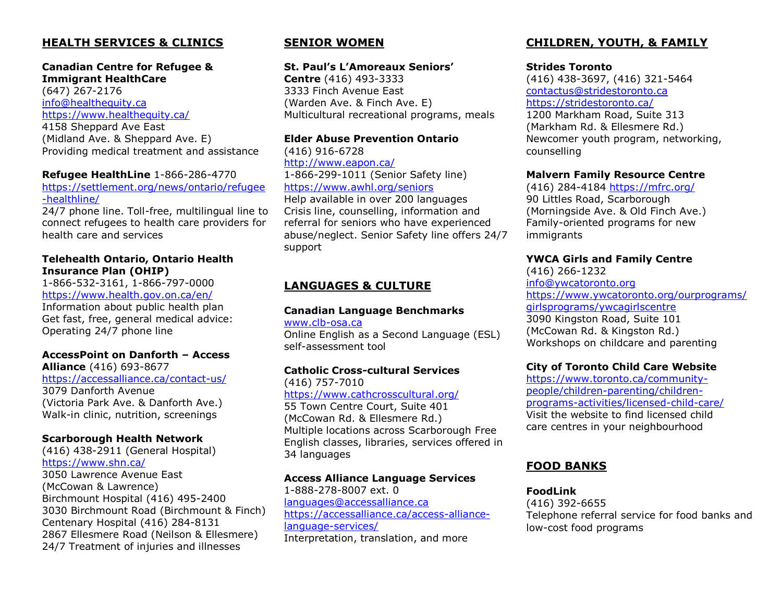### **HEALTH SERVICES & CLINICS**

#### **Canadian Centre for Refugee & Immigrant HealthCare**

(647) 267-2176 [info@healthequity.ca](mailto:info@healthequity.ca) <https://www.healthequity.ca/>

4158 Sheppard Ave East (Midland Ave. & Sheppard Ave. E) Providing medical treatment and assistance

#### **Refugee HealthLine** 1-866-286-4770

[https://settlement.org/news/ontario/refugee](https://settlement.org/news/ontario/refugee-healthline/) [-healthline/](https://settlement.org/news/ontario/refugee-healthline/)

24/7 phone line. Toll-free, multilingual line to connect refugees to health care providers for health care and services

#### **Telehealth Ontario, Ontario Health Insurance Plan (OHIP)**

1-866-532-3161, 1-866-797-0000 <https://www.health.gov.on.ca/en/> Information about public health plan Get fast, free, general medical advice: Operating 24/7 phone line

## **AccessPoint on Danforth – Access**

**Alliance** (416) 693-8677 <https://accessalliance.ca/contact-us/>

3079 Danforth Avenue (Victoria Park Ave. & Danforth Ave.) Walk-in clinic, nutrition, screenings

#### **Scarborough Health Network**

(416) 438-2911 (General Hospital) <https://www.shn.ca/> 3050 Lawrence Avenue East (McCowan & Lawrence) Birchmount Hospital (416) 495-2400 3030 Birchmount Road (Birchmount & Finch) Centenary Hospital (416) 284-8131 2867 Ellesmere Road (Neilson & Ellesmere) 24/7 Treatment of injuries and illnesses

### **SENIOR WOMEN**

#### **St. Paul's L'Amoreaux Seniors'**

**Centre** (416) 493-3333 3333 Finch Avenue East (Warden Ave. & Finch Ave. E) Multicultural recreational programs, meals

#### **Elder Abuse Prevention Ontario**

(416) 916-6728 <http://www.eapon.ca/> 1-866-299-1011 (Senior Safety line) <https://www.awhl.org/seniors> Help available in over 200 languages

Crisis line, counselling, information and referral for seniors who have experienced abuse/neglect. Senior Safety line offers 24/7 support

### **LANGUAGES & CULTURE**

#### **Canadian Language Benchmarks**

[www.clb-osa.ca](http://www.clb-osa.ca/)  Online English as a Second Language (ESL) self-assessment tool

#### **Catholic Cross-cultural Services**

[\(416\) 757-7010](tel:4167577010) <https://www.cathcrosscultural.org/> 55 Town Centre Court, Suite 401 (McCowan Rd. & Ellesmere Rd.) Multiple locations across Scarborough Free English classes, libraries, services offered in 34 languages

#### **Access Alliance Language Services**

1-888-278-8007 ext. 0 [languages@accessalliance.ca](mailto:languages@accessalliance.ca) [https://accessalliance.ca/access-alliance](https://accessalliance.ca/access-alliance-language-services/)[language-services/](https://accessalliance.ca/access-alliance-language-services/) Interpretation, translation, and more

### **CHILDREN, YOUTH, & FAMILY**

#### **Strides Toronto**

(416) 438-3697, (416) 321-5464 [contactus@stridestoronto.ca](mailto:contactus@stridestoronto.ca) <https://stridestoronto.ca/> 1200 Markham Road, Suite 313 (Markham Rd. & Ellesmere Rd.) Newcomer youth program, networking, counselling

#### **Malvern Family Resource Centre**

(416) 284-4184 <https://mfrc.org/> 90 Littles Road, Scarborough (Morningside Ave. & Old Finch Ave.) Family-oriented programs for new immigrants

#### **YWCA Girls and Family Centre**

(416) 266-1232 [info@ywcatoronto.org](mailto:info@ywcatoronto.org) [https://www.ywcatoronto.org/ourprograms/](https://www.ywcatoronto.org/ourprograms/girlsprograms/ywcagirlscentre) [girlsprograms/ywcagirlscentre](https://www.ywcatoronto.org/ourprograms/girlsprograms/ywcagirlscentre) 3090 Kingston Road, Suite 101 (McCowan Rd. & Kingston Rd.) Workshops on childcare and parenting

#### **City of Toronto Child Care Website**

[https://www.toronto.ca/community](https://www.toronto.ca/community-people/children-parenting/children-programs-activities/licensed-child-care/)[people/children-parenting/children](https://www.toronto.ca/community-people/children-parenting/children-programs-activities/licensed-child-care/)[programs-activities/licensed-child-care/](https://www.toronto.ca/community-people/children-parenting/children-programs-activities/licensed-child-care/) Visit the website to find licensed child care centres in your neighbourhood

### **FOOD BANKS**

#### **FoodLink**

(416) 392-6655 Telephone referral service for food banks and low-cost food programs